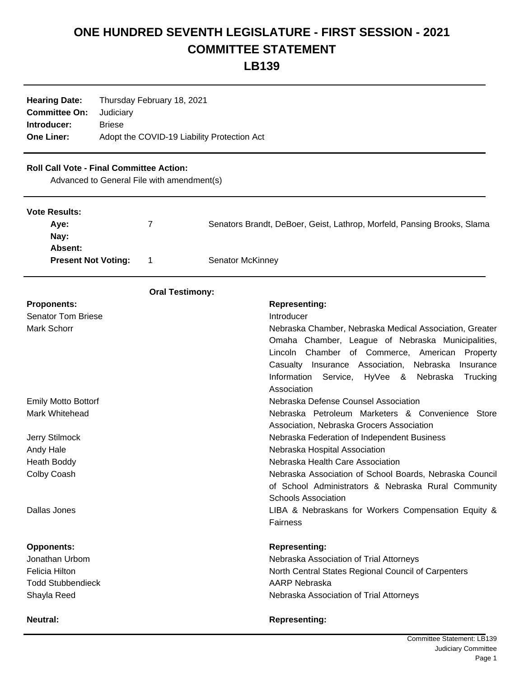# **ONE HUNDRED SEVENTH LEGISLATURE - FIRST SESSION - 2021 COMMITTEE STATEMENT**

**LB139**

| <b>Hearing Date:</b> | Thursday February 18, 2021                  |  |
|----------------------|---------------------------------------------|--|
| <b>Committee On:</b> | Judiciary                                   |  |
| Introducer:          | <b>Briese</b>                               |  |
| <b>One Liner:</b>    | Adopt the COVID-19 Liability Protection Act |  |

# **Roll Call Vote - Final Committee Action:**

Advanced to General File with amendment(s)

| <b>Vote Results:</b><br>Aye: | 7                      | Senators Brandt, DeBoer, Geist, Lathrop, Morfeld, Pansing Brooks, Slama           |  |
|------------------------------|------------------------|-----------------------------------------------------------------------------------|--|
| Nay:                         |                        |                                                                                   |  |
| Absent:                      |                        |                                                                                   |  |
| <b>Present Not Voting:</b>   | 1                      | Senator McKinney                                                                  |  |
|                              | <b>Oral Testimony:</b> |                                                                                   |  |
| <b>Proponents:</b>           |                        | <b>Representing:</b>                                                              |  |
| <b>Senator Tom Briese</b>    |                        | Introducer                                                                        |  |
| Mark Schorr                  |                        | Nebraska Chamber, Nebraska Medical Association, Greater                           |  |
|                              |                        | Omaha Chamber, League of Nebraska Municipalities,                                 |  |
|                              |                        | Lincoln Chamber of Commerce,<br>American<br>Property                              |  |
|                              |                        | Casualty Insurance Association,<br>Nebraska<br>Insurance                          |  |
|                              |                        | Information<br>Service,<br>HyVee<br>8<br>Nebraska<br>Trucking                     |  |
|                              |                        | Association                                                                       |  |
| <b>Emily Motto Bottorf</b>   |                        | Nebraska Defense Counsel Association                                              |  |
| Mark Whitehead               |                        | Nebraska Petroleum Marketers & Convenience Store                                  |  |
|                              |                        | Association, Nebraska Grocers Association                                         |  |
| Jerry Stilmock               |                        | Nebraska Federation of Independent Business                                       |  |
| Andy Hale                    |                        | Nebraska Hospital Association                                                     |  |
| <b>Heath Boddy</b>           |                        | Nebraska Health Care Association                                                  |  |
| Colby Coash                  |                        | Nebraska Association of School Boards, Nebraska Council                           |  |
|                              |                        | of School Administrators & Nebraska Rural Community<br><b>Schools Association</b> |  |
| Dallas Jones                 |                        | LIBA & Nebraskans for Workers Compensation Equity &                               |  |
|                              |                        | <b>Fairness</b>                                                                   |  |
|                              |                        |                                                                                   |  |
| <b>Opponents:</b>            |                        | <b>Representing:</b>                                                              |  |
| Jonathan Urbom               |                        | Nebraska Association of Trial Attorneys                                           |  |
| <b>Felicia Hilton</b>        |                        | North Central States Regional Council of Carpenters                               |  |
| <b>Todd Stubbendieck</b>     |                        | AARP Nebraska                                                                     |  |
| Shayla Reed                  |                        | Nebraska Association of Trial Attorneys                                           |  |
| <b>Neutral:</b>              |                        | <b>Representing:</b>                                                              |  |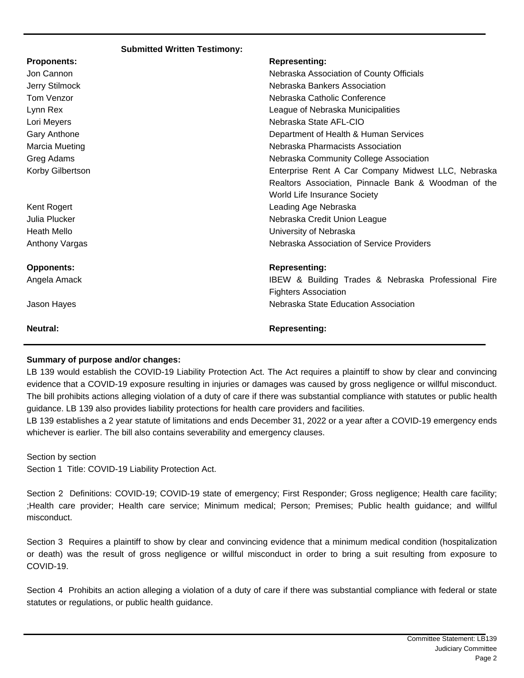#### **Submitted Written Testimony:**

| <b>Proponents:</b> | <b>Representing:</b>                                 |
|--------------------|------------------------------------------------------|
| Jon Cannon         | Nebraska Association of County Officials             |
| Jerry Stilmock     | Nebraska Bankers Association                         |
| Tom Venzor         | Nebraska Catholic Conference                         |
| Lynn Rex           | League of Nebraska Municipalities                    |
| Lori Meyers        | Nebraska State AFL-CIO                               |
| Gary Anthone       | Department of Health & Human Services                |
| Marcia Mueting     | Nebraska Pharmacists Association                     |
| Greg Adams         | Nebraska Community College Association               |
| Korby Gilbertson   | Enterprise Rent A Car Company Midwest LLC, Nebraska  |
|                    | Realtors Association, Pinnacle Bank & Woodman of the |
|                    | World Life Insurance Society                         |
| Kent Rogert        | Leading Age Nebraska                                 |
| Julia Plucker      | Nebraska Credit Union League                         |
| <b>Heath Mello</b> | University of Nebraska                               |
| Anthony Vargas     | Nebraska Association of Service Providers            |
| <b>Opponents:</b>  | <b>Representing:</b>                                 |
| Angela Amack       | IBEW & Building Trades & Nebraska Professional Fire  |
|                    | <b>Fighters Association</b>                          |
| Jason Hayes        | Nebraska State Education Association                 |
| <b>Neutral:</b>    | <b>Representing:</b>                                 |

## **Summary of purpose and/or changes:**

LB 139 would establish the COVID-19 Liability Protection Act. The Act requires a plaintiff to show by clear and convincing evidence that a COVID-19 exposure resulting in injuries or damages was caused by gross negligence or willful misconduct. The bill prohibits actions alleging violation of a duty of care if there was substantial compliance with statutes or public health guidance. LB 139 also provides liability protections for health care providers and facilities.

LB 139 establishes a 2 year statute of limitations and ends December 31, 2022 or a year after a COVID-19 emergency ends whichever is earlier. The bill also contains severability and emergency clauses.

Section by section Section 1 Title: COVID-19 Liability Protection Act.

Section 2 Definitions: COVID-19; COVID-19 state of emergency; First Responder; Gross negligence; Health care facility; ;Health care provider; Health care service; Minimum medical; Person; Premises; Public health guidance; and willful misconduct.

Section 3 Requires a plaintiff to show by clear and convincing evidence that a minimum medical condition (hospitalization or death) was the result of gross negligence or willful misconduct in order to bring a suit resulting from exposure to COVID-19.

Section 4 Prohibits an action alleging a violation of a duty of care if there was substantial compliance with federal or state statutes or regulations, or public health guidance.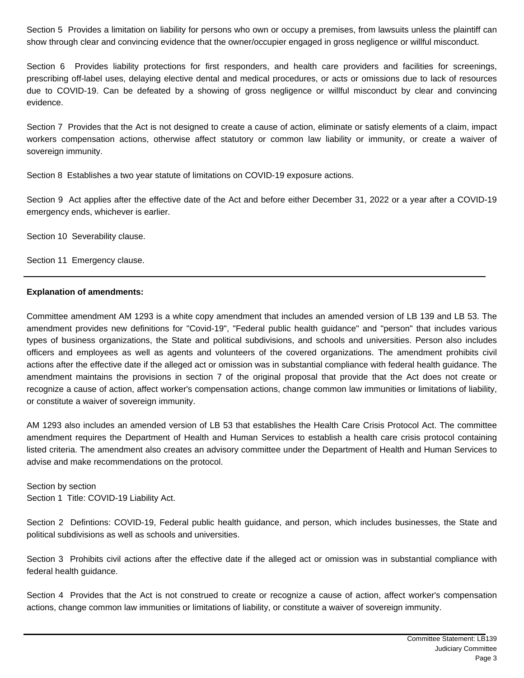Section 5 Provides a limitation on liability for persons who own or occupy a premises, from lawsuits unless the plaintiff can show through clear and convincing evidence that the owner/occupier engaged in gross negligence or willful misconduct.

Section 6 Provides liability protections for first responders, and health care providers and facilities for screenings, prescribing off-label uses, delaying elective dental and medical procedures, or acts or omissions due to lack of resources due to COVID-19. Can be defeated by a showing of gross negligence or willful misconduct by clear and convincing evidence.

Section 7 Provides that the Act is not designed to create a cause of action, eliminate or satisfy elements of a claim, impact workers compensation actions, otherwise affect statutory or common law liability or immunity, or create a waiver of sovereign immunity.

Section 8 Establishes a two year statute of limitations on COVID-19 exposure actions.

Section 9 Act applies after the effective date of the Act and before either December 31, 2022 or a year after a COVID-19 emergency ends, whichever is earlier.

Section 10 Severability clause.

Section 11 Emergency clause.

### **Explanation of amendments:**

Committee amendment AM 1293 is a white copy amendment that includes an amended version of LB 139 and LB 53. The amendment provides new definitions for "Covid-19", "Federal public health guidance" and "person" that includes various types of business organizations, the State and political subdivisions, and schools and universities. Person also includes officers and employees as well as agents and volunteers of the covered organizations. The amendment prohibits civil actions after the effective date if the alleged act or omission was in substantial compliance with federal health guidance. The amendment maintains the provisions in section 7 of the original proposal that provide that the Act does not create or recognize a cause of action, affect worker's compensation actions, change common law immunities or limitations of liability, or constitute a waiver of sovereign immunity.

AM 1293 also includes an amended version of LB 53 that establishes the Health Care Crisis Protocol Act. The committee amendment requires the Department of Health and Human Services to establish a health care crisis protocol containing listed criteria. The amendment also creates an advisory committee under the Department of Health and Human Services to advise and make recommendations on the protocol.

Section by section Section 1 Title: COVID-19 Liability Act.

Section 2 Defintions: COVID-19, Federal public health guidance, and person, which includes businesses, the State and political subdivisions as well as schools and universities.

Section 3 Prohibits civil actions after the effective date if the alleged act or omission was in substantial compliance with federal health guidance.

Section 4 Provides that the Act is not construed to create or recognize a cause of action, affect worker's compensation actions, change common law immunities or limitations of liability, or constitute a waiver of sovereign immunity.